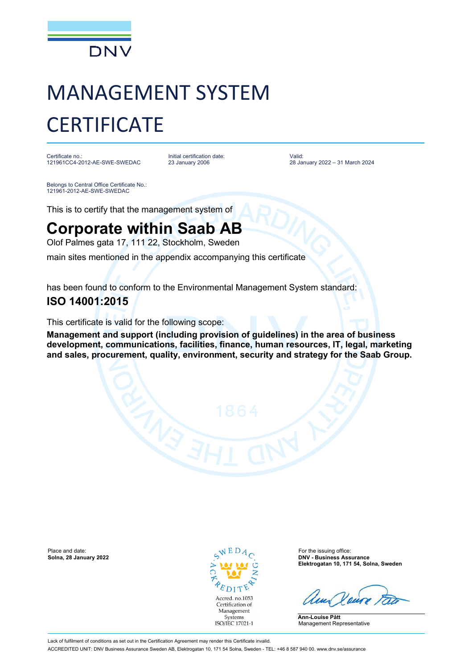

# MANAGEMENT SYSTEM **CERTIFICATE**

Certificate no.: 121961CC4-2012-AE-SWE-SWEDAC Initial certification date: 23 January 2006

Valid: 28 January 2022 – 31 March 2024

Belongs to Central Office Certificate No.: 121961-2012-AE-SWE-SWEDAC

This is to certify that the management system of

## **Corporate within Saab AB**

Olof Palmes gata 17, 111 22, Stockholm, Sweden

main sites mentioned in the appendix accompanying this certificate

has been found to conform to the Environmental Management System standard:

### **ISO 14001:2015**

This certificate is valid for the following scope:

**Management and support (including provision of guidelines) in the area of business development, communications, facilities, finance, human resources, IT, legal, marketing and sales, procurement, quality, environment, security and strategy for the Saab Group.**

Place and date: **Solina, 28 January 2022 Solina, 28 January 2022 Solina, 28 January 2022 Solina, 28 January 2022 Solina, 28 January 2022** 



**Solna, 28 January 2022 DNV - Business Assurance Elektrogatan 10, 171 54, Solna, Sweden**

**Ann-Louise Pått** Management Representative

Lack of fulfilment of conditions as set out in the Certification Agreement may render this Certificate invalid. ACCREDITED UNIT: DNV Business Assurance Sweden AB, Elektrogatan 10, 171 54 Solna, Sweden - TEL: +46 8 587 940 00. www.dnv.se/assurance